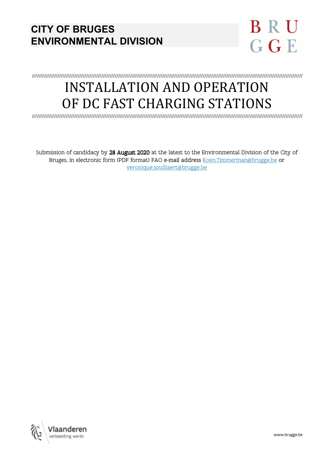# **CITY OF BRUGES ENVIRONMENTAL DIVISION**



////////////////////////////////////////////////////////////////////////////////////////////////////////////////////////////////////////////////////////////////

# INSTALLATION AND OPERATION OF DC FAST CHARGING STATIONS

////////////////////////////////////////////////////////////////////////////////////////////////////////////////////////////////////////////////////////////////

Submission of candidacy by 28 August 2020 at the latest to the Environmental Division of the City of Bruges, in electronic form (PDF format) FAO e-mail address Koen.Timmerman@brugge.be or veronique.soulliaert@brugge.be

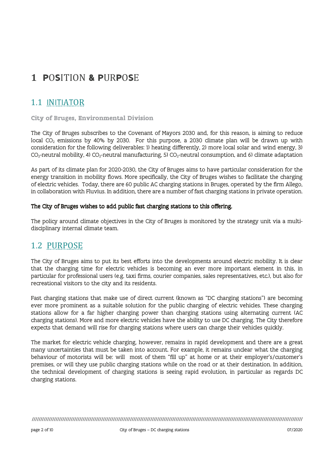# **1 P**O**S**ITION **& P**UR**P**O**S**E

# 1.1 INITIATOR

**City of Bruges, Environmental Division** 

The City of Bruges subscribes to the Covenant of Mayors 2030 and, for this reason, is aiming to reduce local  $CO<sub>2</sub>$  emissions by 40% by 2030. For this purpose, a 2030 climate plan will be drawn up with consideration for the following deliverables: 1) heating differently, 2) more local solar and wind energy, 3)  $CO<sub>2</sub>$ -neutral mobility, 4)  $CO<sub>2</sub>$ -neutral manufacturing, 5)  $CO<sub>2</sub>$ -neutral consumption, and 6) climate adaptation

As part of its climate plan for 2020-2030, the City of Bruges aims to have particular consideration for the energy transition in mobility flows. More specifically, the City of Bruges wishes to facilitate the charging of electric vehicles. Today, there are 60 public AC charging stations in Bruges, operated by the firm Allego, in collaboration with Fluvius. In addition, there are a number of fast charging stations in private operation.

#### The City of Bruges wishes to add public fast charging stations to this offering.

The policy around climate objectives in the City of Bruges is monitored by the strategy unit via a multidisciplinary internal climate team.

# 1.2 PURPOSE

The City of Bruges aims to put its best efforts into the developments around electric mobility. It is clear that the charging time for electric vehicles is becoming an ever more important element in this, in particular for professional users (e.g. taxi firms, courier companies, sales representatives, etc.), but also for recreational visitors to the city and its residents.

Fast charging stations that make use of direct current (known as "DC charging stations") are becoming ever more prominent as a suitable solution for the public charging of electric vehicles. These charging stations allow for a far higher charging power than charging stations using alternating current (AC charging stations). More and more electric vehicles have the ability to use DC charging. The City therefore expects that demand will rise for charging stations where users can charge their vehicles quickly.

The market for electric vehicle charging, however, remains in rapid development and there are a great many uncertainties that must be taken into account. For example, it remains unclear what the charging behaviour of motorists will be: will most of them "fill up" at home or at their employer's/customer's premises, or will they use public charging stations while on the road or at their destination. In addition, the technical development of charging stations is seeing rapid evolution, in particular as regards DC charging stations.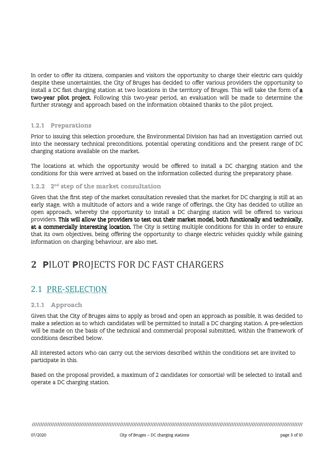In order to offer its citizens, companies and visitors the opportunity to charge their electric cars quickly despite these uncertainties, the City of Bruges has decided to offer various providers the opportunity to install a DC fast charging station at two locations in the territory of Bruges. This will take the form of a two-year pilot project. Following this two-year period, an evaluation will be made to determine the further strategy and approach based on the information obtained thanks to the pilot project.

#### **1.2.1 Preparations**

Prior to issuing this selection procedure, the Environmental Division has had an investigation carried out into the necessary technical preconditions, potential operating conditions and the present range of DC charging stations available on the market.

The locations at which the opportunity would be offered to install a DC charging station and the conditions for this were arrived at based on the information collected during the preparatory phase.

#### **1.2.2 2 nd step of the market consultation**

Given that the first step of the market consultation revealed that the market for DC charging is still at an early stage, with a multitude of actors and a wide range of offerings, the City has decided to utilize an open approach, whereby the opportunity to install a DC charging station will be offered to various providers. This will allow the providers to test out their market model, both functionally and technically, at a commercially interesting location. The City is setting multiple conditions for this in order to ensure that its own objectives, being offering the opportunity to charge electric vehicles quickly while gaining information on charging behaviour, are also met.

# **2 P**ILOT **P**ROJECTS FOR DC FAST CHARGERS

# 2.1 PRE-SELECTION

#### **2.1.1 Approach**

Given that the City of Bruges aims to apply as broad and open an approach as possible, it was decided to make a selection as to which candidates will be permitted to install a DC charging station. A pre-selection will be made on the basis of the technical and commercial proposal submitted, within the framework of conditions described below.

All interested actors who can carry out the services described within the conditions set are invited to participate in this.

Based on the proposal provided, a maximum of 2 candidates (or consortia) will be selected to install and operate a DC charging station.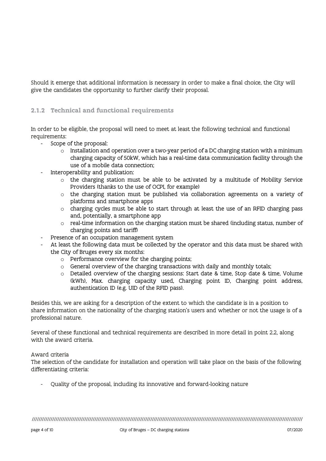Should it emerge that additional information is necessary in order to make a final choice, the City will give the candidates the opportunity to further clarify their proposal.

#### **2.1.2 Technical and functional requirements**

In order to be eligible, the proposal will need to meet at least the following technical and functional requirements:

- Scope of the proposal:
	- $\circ$  Installation and operation over a two-year period of a DC charging station with a minimum charging capacity of 50kW, which has a real-time data communication facility through the use of a mobile data connection;
- Interoperability and publication:
	- $\circ$  the charging station must be able to be activated by a multitude of Mobility Service Providers (thanks to the use of OCPI, for example)
	- o the charging station must be published via collaboration agreements on a variety of platforms and smartphone apps
	- $\circ$  charging cycles must be able to start through at least the use of an RFID charging pass and, potentially, a smartphone app
	- $\circ$  real-time information on the charging station must be shared (including status, number of charging points and tariff)
- Presence of an occupation management system
- At least the following data must be collected by the operator and this data must be shared with the City of Bruges every six months:
	- o Performance overview for the charging points;
	- o General overview of the charging transactions with daily and monthly totals;
	- o Detailed overview of the charging sessions: Start date & time, Stop date & time, Volume (kWh), Max. charging capacity used, Charging point ID, Charging point address, authentication ID (e.g. UID of the RFID pass).

Besides this, we are asking for a description of the extent to which the candidate is in a position to share information on the nationality of the charging station's users and whether or not the usage is of a professional nature.

Several of these functional and technical requirements are described in more detail in point 2.2, along with the award criteria.

#### Award criteria

The selection of the candidate for installation and operation will take place on the basis of the following differentiating criteria:

- Quality of the proposal, including its innovative and forward-looking nature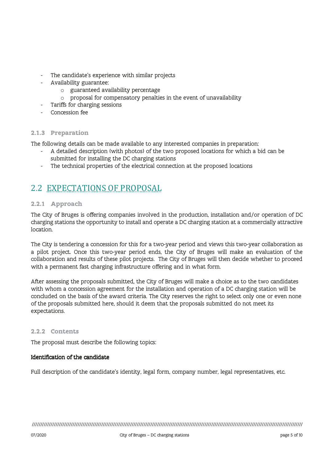- The candidate's experience with similar projects
- Availability guarantee:
	- o guaranteed availability percentage
	- o proposal for compensatory penalties in the event of unavailability
- Tariffs for charging sessions
- Concession fee

#### **2.1.3 Preparation**

The following details can be made available to any interested companies in preparation:

- A detailed description (with photos) of the two proposed locations for which a bid can be submitted for installing the DC charging stations
- The technical properties of the electrical connection at the proposed locations

# 2.2 EXPECTATIONS OF PROPOSAL

#### **2.2.1 Approach**

The City of Bruges is offering companies involved in the production, installation and/or operation of DC charging stations the opportunity to install and operate a DC charging station at a commercially attractive location.

The City is tendering a concession for this for a two-year period and views this two-year collaboration as a pilot project. Once this two-year period ends, the City of Bruges will make an evaluation of the collaboration and results of these pilot projects. The City of Bruges will then decide whether to proceed with a permanent fast charging infrastructure offering and in what form.

After assessing the proposals submitted, the City of Bruges will make a choice as to the two candidates with whom a concession agreement for the installation and operation of a DC charging station will be concluded on the basis of the award criteria. The City reserves the right to select only one or even none of the proposals submitted here, should it deem that the proposals submitted do not meet its expectations.

#### **2.2.2 Contents**

The proposal must describe the following topics:

#### Identification of the candidate

Full description of the candidate's identity, legal form, company number, legal representatives, etc.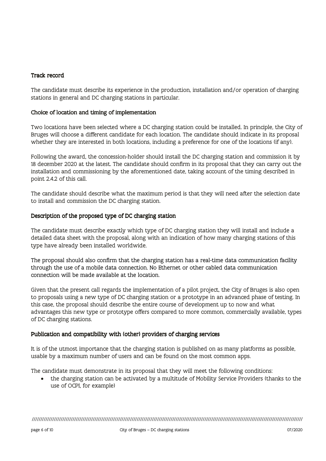#### Track record

The candidate must describe its experience in the production, installation and/or operation of charging stations in general and DC charging stations in particular.

#### Choice of location and timing of implementation

Two locations have been selected where a DC charging station could be installed. In principle, the City of Bruges will choose a different candidate for each location. The candidate should indicate in its proposal whether they are interested in both locations, including a preference for one of the locations (if any).

Following the award, the concession-holder should install the DC charging station and commission it by 18 december 2020 at the latest. The candidate should confirm in its proposal that they can carry out the installation and commissioning by the aforementioned date, taking account of the timing described in point 2.4.2 of this call.

The candidate should describe what the maximum period is that they will need after the selection date to install and commission the DC charging station.

#### Description of the proposed type of DC charging station

The candidate must describe exactly which type of DC charging station they will install and include a detailed data sheet with the proposal, along with an indication of how many charging stations of this type have already been installed worldwide.

The proposal should also confirm that the charging station has a real-time data communication facility through the use of a mobile data connection. No Ethernet or other cabled data communication connection will be made available at the location.

Given that the present call regards the implementation of a pilot project, the City of Bruges is also open to proposals using a new type of DC charging station or a prototype in an advanced phase of testing. In this case, the proposal should describe the entire course of development up to now and what advantages this new type or prototype offers compared to more common, commercially available, types of DC charging stations.

#### Publication and compatibility with (other) providers of charging services

It is of the utmost importance that the charging station is published on as many platforms as possible, usable by a maximum number of users and can be found on the most common apps.

The candidate must demonstrate in its proposal that they will meet the following conditions:

 the charging station can be activated by a multitude of Mobility Service Providers (thanks to the use of OCPI, for example)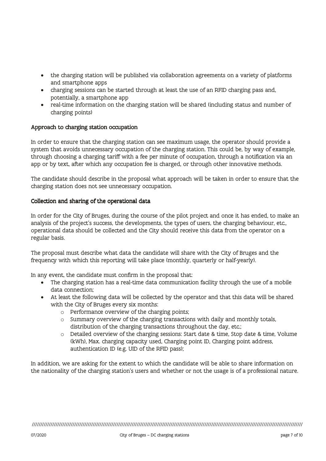- the charging station will be published via collaboration agreements on a variety of platforms and smartphone apps
- charging sessions can be started through at least the use of an RFID charging pass and, potentially, a smartphone app
- real-time information on the charging station will be shared (including status and number of charging points)

#### Approach to charging station occupation occupation

In order to ensure that the charging station can see maximum usage, the operator should provide a system that avoids unnecessary occupation of the charging station. This could be, by way of example, through choosing a charging tariff with a fee per minute of occupation, through a notification via an app or by text, after which any occupation fee is charged, or through other innovative methods.

The candidate should describe in the proposal what approach will be taken in order to ensure that the charging station does not see unnecessary occupation.

#### Collection and sharing of the operational data

In order for the City of Bruges, during the course of the pilot project and once it has ended, to make an analysis of the project's success, the developments, the types of users, the charging behaviour, etc., operational data should be collected and the City should receive this data from the operator on a regular basis.

The proposal must describe what data the candidate will share with the City of Bruges and the frequency with which this reporting will take place (monthly, quarterly or half-yearly).

In any event, the candidate must confirm in the proposal that:

- The charging station has a real-time data communication facility through the use of a mobile data connection;
- At least the following data will be collected by the operator and that this data will be shared with the City of Bruges every six months:
	- o Performance overview of the charging points;
	- o Summary overview of the charging transactions with daily and monthly totals, distribution of the charging transactions throughout the day, etc.;
	- o Detailed overview of the charging sessions: Start date & time, Stop date & time, Volume (kWh), Max. charging capacity used, Charging point ID, Charging point address, authentication ID (e.g. UID of the RFID pass);

In addition, we are asking for the extent to which the candidate will be able to share information on the nationality of the charging station's users and whether or not the usage is of a professional nature.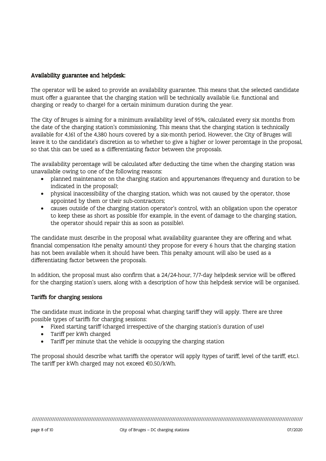#### Availability guarantee and helpdesk:

The operator will be asked to provide an availability guarantee. This means that the selected candidate must offer a guarantee that the charging station will be technically available (i.e. functional and charging or ready to charge) for a certain minimum duration during the year.

The City of Bruges is aiming for a minimum availability level of 95%, calculated every six months from the date of the charging station's commissioning. This means that the charging station is technically available for 4,161 of the 4,380 hours covered by a six-month period. However, the City of Bruges will leave it to the candidate's discretion as to whether to give a higher or lower percentage in the proposal, so that this can be used as a differentiating factor between the proposals.

The availability percentage will be calculated after deducting the time when the charging station was unavailable owing to one of the following reasons:

- planned maintenance on the charging station and appurtenances (frequency and duration to be indicated in the proposal);
- physical inaccessibility of the charging station, which was not caused by the operator, those appointed by them or their sub-contractors;
- causes outside of the charging station operator's control, with an obligation upon the operator to keep these as short as possible (for example, in the event of damage to the charging station, the operator should repair this as soon as possible).

The candidate must describe in the proposal what availability guarantee they are offering and what financial compensation (the penalty amount) they propose for every 6 hours that the charging station has not been available when it should have been. This penalty amount will also be used as a differentiating factor between the proposals.

In addition, the proposal must also confirm that a 24/24-hour, 7/7-day helpdesk service will be offered for the charging station's users, along with a description of how this helpdesk service will be organised.

#### Tariffs for charging sessions

The candidate must indicate in the proposal what charging tariff they will apply. There are three possible types of tariffs for charging sessions:

- Fixed starting tariff (charged irrespective of the charging station's duration of use)
- Tariff per kWh charged
- Tariff per minute that the vehicle is occupying the charging station

The proposal should describe what tariffs the operator will apply (types of tariff, level of the tariff, etc.). The tariff per kWh charged may not exceed €0.50/kWh.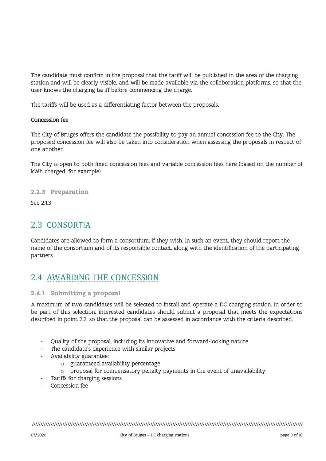The candidate must confirm in the proposal that the tariff will be published in the area of the charging station and will be clearly visible, and will be made available via the collaboration platforms, so that the user knows the charging tariff before commencing the charge.

The tariffs will be used as a differentiating factor between the proposals.

#### Concession fee

The City of Bruges offers the candidate the possibility to pay an annual concession fee to the City. The proposed concession fee will also be taken into consideration when assessing the proposals in respect of one another.

The City is open to both fixed concession fees and variable concession fees here (based on the number of kWh charged, for example).

**2.2.3 Preparation** 

See 2.1.3

# 2.3 CONSORTIA

Candidates are allowed to form a consortium, if they wish. In such an event, they should report the name of the consortium and of its responsible contact, along with the identification of the participating partners.

# 2.4 AWARDING THE CONCESSION

#### **2.4.1 Submitting a proposal**

A maximum of two candidates will be selected to install and operate a DC charging station. In order to be part of this selection, interested candidates should submit a proposal that meets the expectations described in point 2.2, so that the proposal can be assessed in accordance with the criteria described.

- Quality of the proposal, including its innovative and forward-looking nature
- The candidate's experience with similar projects
- Availability guarantee:
	- o guaranteed availability percentage
		- o proposal for compensatory penalty payments in the event of unavailability
- Tariffs for charging sessions
- Concession fee